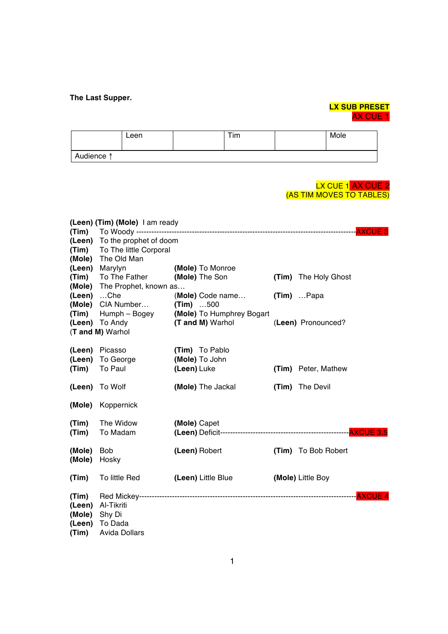## **The Last Supper.**

# **LX SUB PRESET** AX CUE 1

|            | Leen |  | Tim |  | Mole |
|------------|------|--|-----|--|------|
| Audience ↑ |      |  |     |  |      |

#### <mark>LX CUE 1</mark> AX CUE 2 (AS TIM MOVES TO TABLES)

|        | (Leen) (Tim) (Mole) I am ready |                           |       |                      |  |
|--------|--------------------------------|---------------------------|-------|----------------------|--|
| (Tim)  |                                |                           |       | <b>-AXCUE 3</b>      |  |
| (Leen) | To the prophet of doom         |                           |       |                      |  |
| (Tim)  | To The little Corporal         |                           |       |                      |  |
| (Mole) | The Old Man                    |                           |       |                      |  |
| (Leen) | Marylyn                        | (Mole) To Monroe          |       |                      |  |
| (Tim)  | To The Father                  | (Mole) The Son            |       | (Tim) The Holy Ghost |  |
| (Mole) | The Prophet, known as          |                           |       |                      |  |
| (Leen) | $$ Che                         | (Mole) Code name          |       | $(Tim)$ Papa         |  |
| (Mole) | CIA Number                     | $(Tim)$ 500               |       |                      |  |
| (Tim)  | Humph - Bogey                  | (Mole) To Humphrey Bogart |       |                      |  |
| (Leen) | To Andy                        | (T and M) Warhol          |       | (Leen) Pronounced?   |  |
|        | (T and M) Warhol               |                           |       |                      |  |
|        |                                |                           |       |                      |  |
| (Leen) | Picasso                        | (Tim) To Pablo            |       |                      |  |
| (Leen) | To George                      | (Mole) To John            |       |                      |  |
| (Tim)  | To Paul                        | (Leen) Luke               |       | (Tim) Peter, Mathew  |  |
| (Leen) | To Wolf                        | (Mole) The Jackal         | (Tim) | The Devil            |  |
| (Mole) | Koppernick                     |                           |       |                      |  |
| (Tim)  | The Widow                      | (Mole) Capet              |       |                      |  |
| (Tim)  | To Madam                       |                           |       |                      |  |
|        |                                |                           |       |                      |  |
| (Mole) | <b>Bob</b>                     | (Leen) Robert             |       | (Tim) To Bob Robert  |  |
| (Mole) | Hosky                          |                           |       |                      |  |
| (Tim)  | To little Red                  | (Leen) Little Blue        |       | (Mole) Little Boy    |  |
|        |                                |                           |       |                      |  |
| (Tim)  |                                |                           |       | <b>AXCUE4</b>        |  |
| (Leen) | Al-Tikriti                     |                           |       |                      |  |
| (Mole) | Shy Di                         |                           |       |                      |  |
| (Leen) | To Dada                        |                           |       |                      |  |
| (Tim)  | <b>Avida Dollars</b>           |                           |       |                      |  |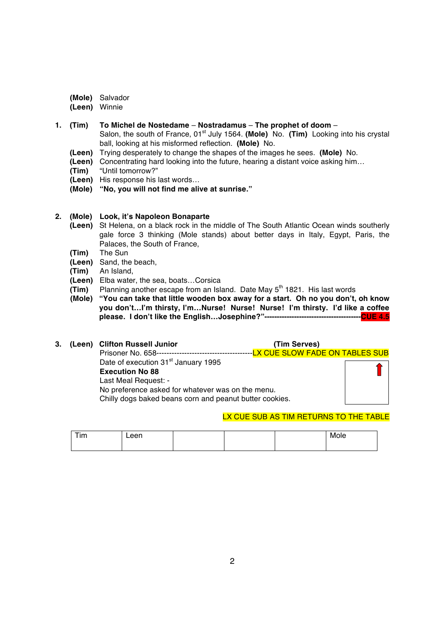- **(Mole)** Salvador
- **(Leen)** Winnie
- **1. (Tim) To Michel de Nostedame Nostradamus The prophet of doom** Salon, the south of France, 01st July 1564. **(Mole)** No. **(Tim)** Looking into his crystal ball, looking at his misformed reflection. **(Mole)** No.
	- **(Leen)** Trying desperately to change the shapes of the images he sees. **(Mole)** No.
	- **(Leen)** Concentrating hard looking into the future, hearing a distant voice asking him…
	- **(Tim)** "Until tomorrow?"
	- **(Leen)** His response his last words…
	- **(Mole) "No, you will not find me alive at sunrise."**
- **2. (Mole) Look, it's Napoleon Bonaparte** 
	- **(Leen)** St Helena, on a black rock in the middle of The South Atlantic Ocean winds southerly gale force 3 thinking (Mole stands) about better days in Italy, Egypt, Paris, the Palaces, the South of France,
	- **(Tim)** The Sun
	- **(Leen)** Sand, the beach,
	- **(Tim)** An Island,
	- **(Leen)** Elba water, the sea, boats…Corsica
	- **(Tim)** Planning another escape from an Island. Date May 5<sup>th</sup> 1821. His last words
	- **(Mole) "You can take that little wooden box away for a start. Oh no you don't, oh know you don't…I'm thirsty, I'm…Nurse! Nurse! Nurse! I'm thirsty. I'd like a coffee please. I don't like the English…Josephine?"---------------------------------------CUE 4.5**

# **3. (Leen) Clifton Russell Junior (Tim Serves)**

| , , , , | <u>UNINUM MUUULI UUMINU</u>                             | .                                                |  |
|---------|---------------------------------------------------------|--------------------------------------------------|--|
|         | Prisoner No. 658-------------------------------         | ---- <mark>LX CUE SLOW FADE ON TABLES SUB</mark> |  |
|         | Date of execution 31 <sup>st</sup> January 1995         |                                                  |  |
|         | <b>Execution No 88</b>                                  |                                                  |  |
|         | Last Meal Request: -                                    |                                                  |  |
|         | No preference asked for whatever was on the menu.       |                                                  |  |
|         | Chilly dogs baked beans corn and peanut butter cookies. |                                                  |  |
|         |                                                         |                                                  |  |

## LX CUE SUB AS TIM RETURNS TO THE TABLE

| Tim | Leen |  | Mole |
|-----|------|--|------|
|     |      |  |      |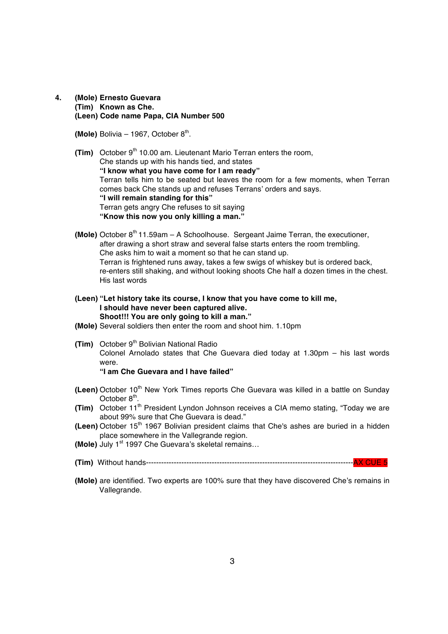**4. (Mole) Ernesto Guevara (Tim) Known as Che. (Leen) Code name Papa, CIA Number 500**

**(Mole)** Bolivia  $-$  1967, October  $8<sup>th</sup>$ .

- **(Tim)** October 9<sup>th</sup> 10.00 am. Lieutenant Mario Terran enters the room, Che stands up with his hands tied, and states **"I know what you have come for I am ready"** Terran tells him to be seated but leaves the room for a few moments, when Terran comes back Che stands up and refuses Terrans' orders and says. **"I will remain standing for this"**  Terran gets angry Che refuses to sit saying **"Know this now you only killing a man."**
- **(Mole)** October  $8<sup>th</sup>$  11.59am A Schoolhouse. Sergeant Jaime Terran, the executioner, after drawing a short straw and several false starts enters the room trembling. Che asks him to wait a moment so that he can stand up. Terran is frightened runs away, takes a few swigs of whiskey but is ordered back, re-enters still shaking, and without looking shoots Che half a dozen times in the chest. His last words
- **(Leen) "Let history take its course, I know that you have come to kill me, I should have never been captured alive. Shoot!!! You are only going to kill a man."**
- **(Mole)** Several soldiers then enter the room and shoot him. 1.10pm
- **(Tim)** October 9<sup>th</sup> Bolivian National Radio Colonel Arnolado states that Che Guevara died today at 1.30pm – his last words were. **"I am Che Guevara and I have failed"**
- **(Leen)** October 10<sup>th</sup> New York Times reports Che Guevara was killed in a battle on Sunday October 8<sup>th</sup>.
- **(Tim)** October 11<sup>th</sup> President Lyndon Johnson receives a CIA memo stating, "Today we are about 99% sure that Che Guevara is dead."
- **(Leen)** October 15<sup>th</sup> 1967 Bolivian president claims that Che's ashes are buried in a hidden place somewhere in the Vallegrande region.
- **(Mole)** July 1<sup>st</sup> 1997 Che Guevara's skeletal remains...
- **(Tim)** Without hands----------------------------------------------------------------------------------AX CUE 5
- **(Mole)** are identified. Two experts are 100% sure that they have discovered Che's remains in Vallegrande.